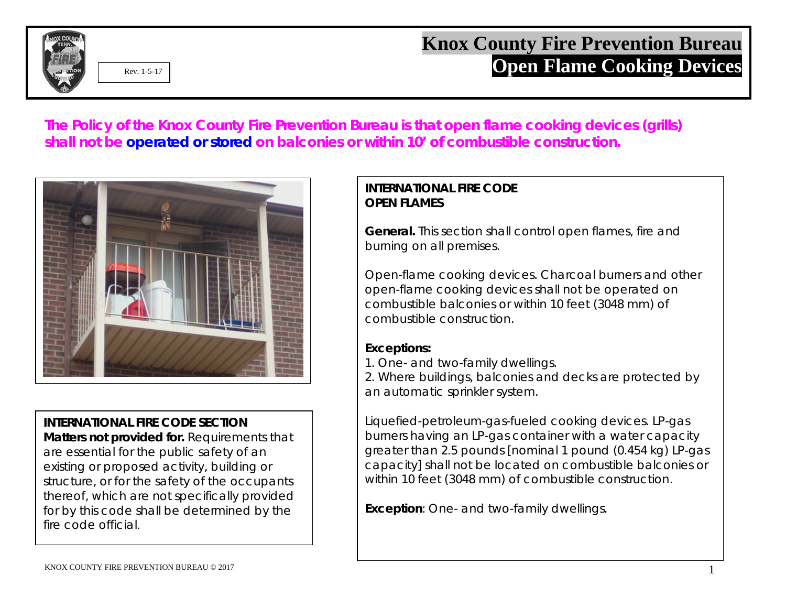

## **Knox County Fire Prevention Bureau Cooking Devices Open Flame Cooking Devices**

**The Policy of the Knox County Fire Prevention Bureau is that open flame cooking devices (grills) shall not be operated or stored on balconies or within 10' of combustible construction.**



**INTERNATIONAL FIRE CODE SECTION Matters not provided for.** Requirements that are essential for the public safety of an existing or proposed activity, building or structure, or for the safety of the occupants thereof, which are not specifically provided for by this code shall be determined by the fire code official.

## **INTERNATIONAL FIRE CODE OPEN FLAMES**

**General.** This section shall control open flames, fire and burning on all premises.

Open-flame cooking devices. Charcoal burners and other open-flame cooking devices shall not be operated on combustible balconies or within 10 feet (3048 mm) of combustible construction.

## **Exceptions:**

1. One- and two-family dwellings.

2. Where buildings, balconies and decks are protected by an automatic sprinkler system.

Liquefied-petroleum-gas-fueled cooking devices. LP-gas burners having an LP-gas container with a water capacity greater than 2.5 pounds [nominal 1 pound (0.454 kg) LP-gas capacity] shall not be located on combustible balconies or within 10 feet (3048 mm) of combustible construction.

**Exception**: One- and two-family dwellings.